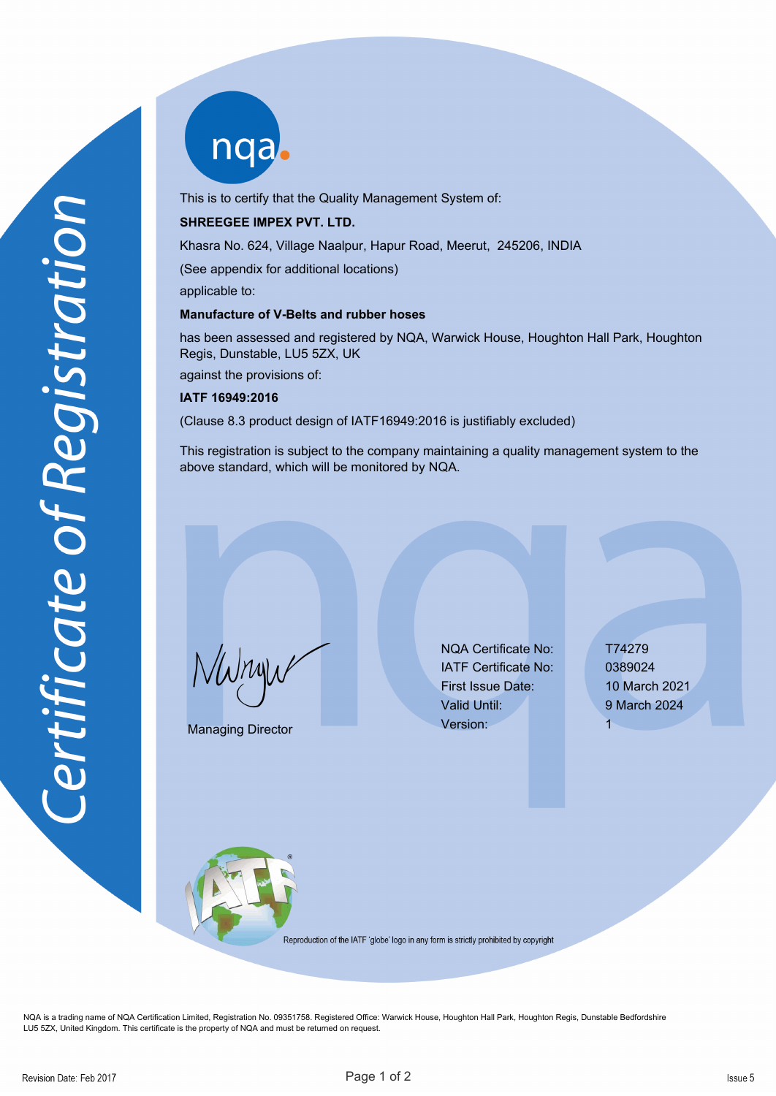nqab

This is to certify that the Quality Management System of:

## **SHREEGEE IMPEX PVT. LTD.**

Khasra No. 624, Village Naalpur, Hapur Road, Meerut, 245206, INDIA

(See appendix for additional locations)

applicable to:

## **Manufacture of V-Belts and rubber hoses**

has been assessed and registered by NQA, Warwick House, Houghton Hall Park, Houghton Regis, Dunstable, LU5 5ZX, UK

against the provisions of:

## **IATF 16949:2016**

(Clause 8.3 product design of IATF16949:2016 is justifiably excluded)

This registration is subject to the company maintaining a quality management system to the above standard, which will be monitored by NQA.

NWnyw

Managing Director

NQA Certificate No: T74279 IATF Certificate No: 0389024 First Issue Date: 10 March 2021 Valid Until: 9 March 2024 Version: 1



Reproduction of the IATF 'globe' logo in any form is strictly prohibited by copyright

NQA is a trading name of NQA Certification Limited, Registration No. 09351758. Registered Office: Warwick House, Houghton Hall Park, Houghton Regis, Dunstable Bedfordshire LU5 5ZX, United Kingdom. This certificate is the property of NQA and must be returned on request.